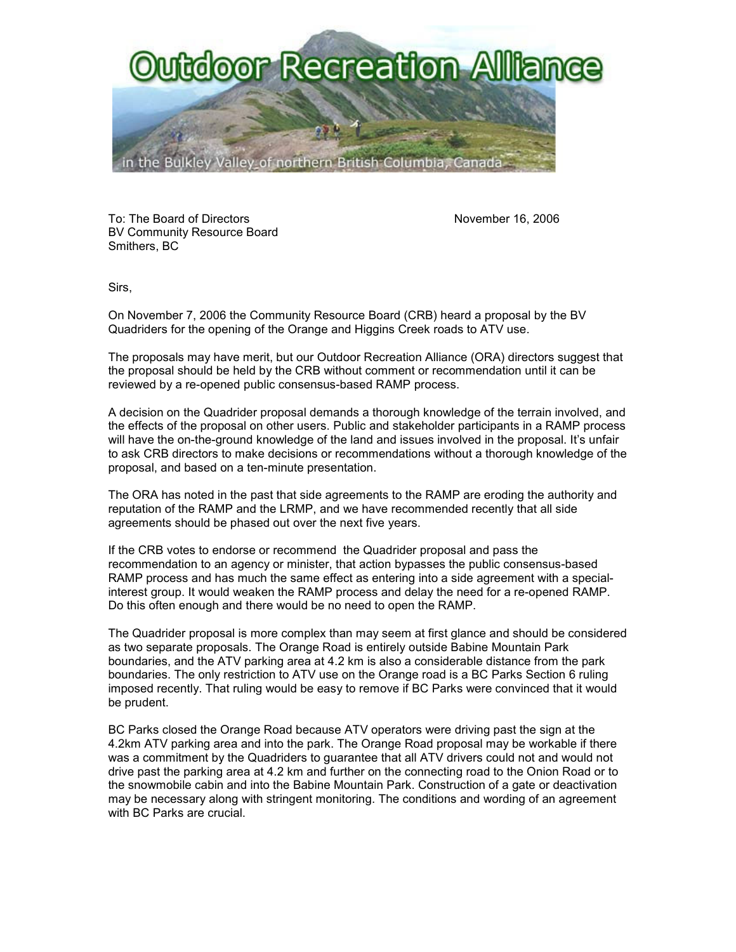

To: The Board of Directors November 16, 2006 BV Community Resource Board Smithers, BC

Sirs,

On November 7, 2006 the Community Resource Board (CRB) heard a proposal by the BV Quadriders for the opening of the Orange and Higgins Creek roads to ATV use.

The proposals may have merit, but our Outdoor Recreation Alliance (ORA) directors suggest that the proposal should be held by the CRB without comment or recommendation until it can be reviewed by a re-opened public consensus-based RAMP process.

A decision on the Quadrider proposal demands a thorough knowledge of the terrain involved, and the effects of the proposal on other users. Public and stakeholder participants in a RAMP process will have the on-the-ground knowledge of the land and issues involved in the proposal. It's unfair to ask CRB directors to make decisions or recommendations without a thorough knowledge of the proposal, and based on a ten-minute presentation.

The ORA has noted in the past that side agreements to the RAMP are eroding the authority and reputation of the RAMP and the LRMP, and we have recommended recently that all side agreements should be phased out over the next five years.

If the CRB votes to endorse or recommend the Quadrider proposal and pass the recommendation to an agency or minister, that action bypasses the public consensus-based RAMP process and has much the same effect as entering into a side agreement with a specialinterest group. It would weaken the RAMP process and delay the need for a re-opened RAMP. Do this often enough and there would be no need to open the RAMP.

The Quadrider proposal is more complex than may seem at first glance and should be considered as two separate proposals. The Orange Road is entirely outside Babine Mountain Park boundaries, and the ATV parking area at 4.2 km is also a considerable distance from the park boundaries. The only restriction to ATV use on the Orange road is a BC Parks Section 6 ruling imposed recently. That ruling would be easy to remove if BC Parks were convinced that it would be prudent.

BC Parks closed the Orange Road because ATV operators were driving past the sign at the 4.2km ATV parking area and into the park. The Orange Road proposal may be workable if there was a commitment by the Quadriders to guarantee that all ATV drivers could not and would not drive past the parking area at 4.2 km and further on the connecting road to the Onion Road or to the snowmobile cabin and into the Babine Mountain Park. Construction of a gate or deactivation may be necessary along with stringent monitoring. The conditions and wording of an agreement with BC Parks are crucial.